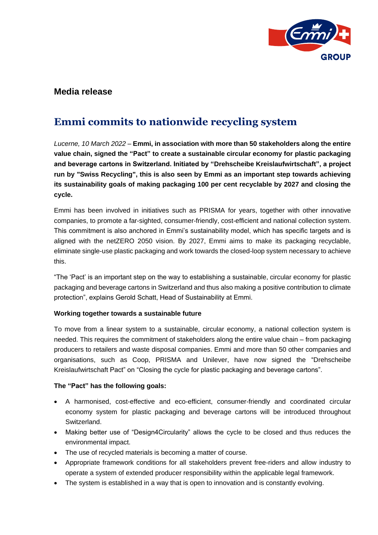

# **Media release**

# **Emmi commits to nationwide recycling system**

*Lucerne, 10 March 2022 –* **Emmi, in association with more than 50 stakeholders along the entire value chain, signed the "Pact" to create a sustainable circular economy for plastic packaging and beverage cartons in Switzerland. Initiated by "Drehscheibe Kreislaufwirtschaft", a project run by "Swiss Recycling", this is also seen by Emmi as an important step towards achieving its sustainability goals of making packaging 100 per cent recyclable by 2027 and closing the cycle.**

Emmi has been involved in initiatives such as PRISMA for years, together with other innovative companies, to promote a far-sighted, consumer-friendly, cost-efficient and national collection system. This commitment is also anchored in Emmi's sustainability model, which has specific targets and is aligned with the netZERO 2050 vision. By 2027, Emmi aims to make its packaging recyclable, eliminate single-use plastic packaging and work towards the closed-loop system necessary to achieve this.

"The 'Pact' is an important step on the way to establishing a sustainable, circular economy for plastic packaging and beverage cartons in Switzerland and thus also making a positive contribution to climate protection", explains Gerold Schatt, Head of Sustainability at Emmi.

## **Working together towards a sustainable future**

To move from a linear system to a sustainable, circular economy, a national collection system is needed. This requires the commitment of stakeholders along the entire value chain – from packaging producers to retailers and waste disposal companies. Emmi and more than 50 other companies and organisations, such as Coop, PRISMA and Unilever, have now signed the "Drehscheibe Kreislaufwirtschaft Pact" on "Closing the cycle for plastic packaging and beverage cartons".

## **The "Pact" has the following goals:**

- A harmonised, cost-effective and eco-efficient, consumer-friendly and coordinated circular economy system for plastic packaging and beverage cartons will be introduced throughout Switzerland.
- Making better use of "Design4Circularity" allows the cycle to be closed and thus reduces the environmental impact.
- The use of recycled materials is becoming a matter of course.
- Appropriate framework conditions for all stakeholders prevent free-riders and allow industry to operate a system of extended producer responsibility within the applicable legal framework.
- The system is established in a way that is open to innovation and is constantly evolving.